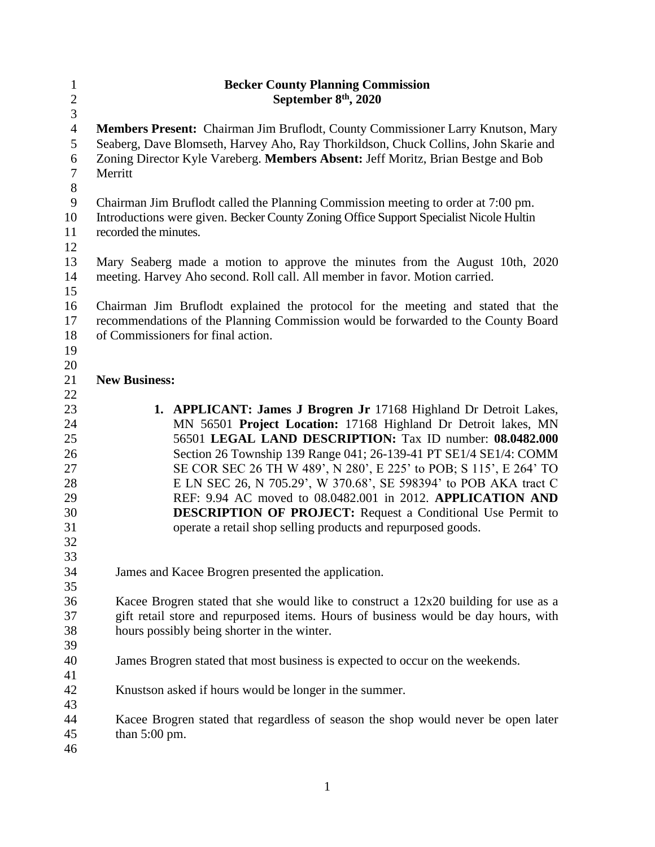| $\mathbf{1}$     | <b>Becker County Planning Commission</b>                                                                                                                                    |  |  |
|------------------|-----------------------------------------------------------------------------------------------------------------------------------------------------------------------------|--|--|
| $\overline{2}$   | September 8 <sup>th</sup> , 2020                                                                                                                                            |  |  |
| $\overline{3}$   |                                                                                                                                                                             |  |  |
| $\overline{4}$   | Members Present: Chairman Jim Bruflodt, County Commissioner Larry Knutson, Mary                                                                                             |  |  |
| 5                | Seaberg, Dave Blomseth, Harvey Aho, Ray Thorkildson, Chuck Collins, John Skarie and                                                                                         |  |  |
| $\boldsymbol{6}$ | Zoning Director Kyle Vareberg. Members Absent: Jeff Moritz, Brian Bestge and Bob                                                                                            |  |  |
| $\tau$<br>$8\,$  | Merritt                                                                                                                                                                     |  |  |
| $\mathbf{9}$     |                                                                                                                                                                             |  |  |
| 10               | Chairman Jim Bruflodt called the Planning Commission meeting to order at 7:00 pm.<br>Introductions were given. Becker County Zoning Office Support Specialist Nicole Hultin |  |  |
| 11               | recorded the minutes.                                                                                                                                                       |  |  |
| 12               |                                                                                                                                                                             |  |  |
| 13               | Mary Seaberg made a motion to approve the minutes from the August 10th, 2020                                                                                                |  |  |
| 14               | meeting. Harvey Aho second. Roll call. All member in favor. Motion carried.                                                                                                 |  |  |
| 15               |                                                                                                                                                                             |  |  |
| 16               | Chairman Jim Bruflodt explained the protocol for the meeting and stated that the                                                                                            |  |  |
| 17               | recommendations of the Planning Commission would be forwarded to the County Board                                                                                           |  |  |
| 18               | of Commissioners for final action.                                                                                                                                          |  |  |
| 19               |                                                                                                                                                                             |  |  |
| 20               |                                                                                                                                                                             |  |  |
| 21               | <b>New Business:</b>                                                                                                                                                        |  |  |
| 22               |                                                                                                                                                                             |  |  |
| 23               | 1. APPLICANT: James J Brogren Jr 17168 Highland Dr Detroit Lakes,                                                                                                           |  |  |
| 24               | MN 56501 Project Location: 17168 Highland Dr Detroit lakes, MN                                                                                                              |  |  |
| 25               | 56501 LEGAL LAND DESCRIPTION: Tax ID number: 08.0482.000                                                                                                                    |  |  |
| 26               | Section 26 Township 139 Range 041; 26-139-41 PT SE1/4 SE1/4: COMM                                                                                                           |  |  |
| 27               | SE COR SEC 26 TH W 489', N 280', E 225' to POB; S 115', E 264' TO                                                                                                           |  |  |
| 28               | E LN SEC 26, N 705.29', W 370.68', SE 598394' to POB AKA tract C                                                                                                            |  |  |
| 29               | REF: 9.94 AC moved to 08.0482.001 in 2012. APPLICATION AND                                                                                                                  |  |  |
| 30               | <b>DESCRIPTION OF PROJECT:</b> Request a Conditional Use Permit to                                                                                                          |  |  |
| 31               | operate a retail shop selling products and repurposed goods.                                                                                                                |  |  |
| 32               |                                                                                                                                                                             |  |  |
| 33               |                                                                                                                                                                             |  |  |
| 34               | James and Kacee Brogren presented the application.                                                                                                                          |  |  |
| 35               |                                                                                                                                                                             |  |  |
| 36               | Kacee Brogren stated that she would like to construct a 12x20 building for use as a                                                                                         |  |  |
| 37               | gift retail store and repurposed items. Hours of business would be day hours, with                                                                                          |  |  |
| 38               | hours possibly being shorter in the winter.                                                                                                                                 |  |  |
| 39               |                                                                                                                                                                             |  |  |
| 40<br>41         |                                                                                                                                                                             |  |  |
| 42               | James Brogren stated that most business is expected to occur on the weekends.                                                                                               |  |  |
|                  |                                                                                                                                                                             |  |  |
|                  | Knustson asked if hours would be longer in the summer.                                                                                                                      |  |  |
| 43               |                                                                                                                                                                             |  |  |
| 44<br>45         | Kacee Brogren stated that regardless of season the shop would never be open later<br>than $5:00$ pm.                                                                        |  |  |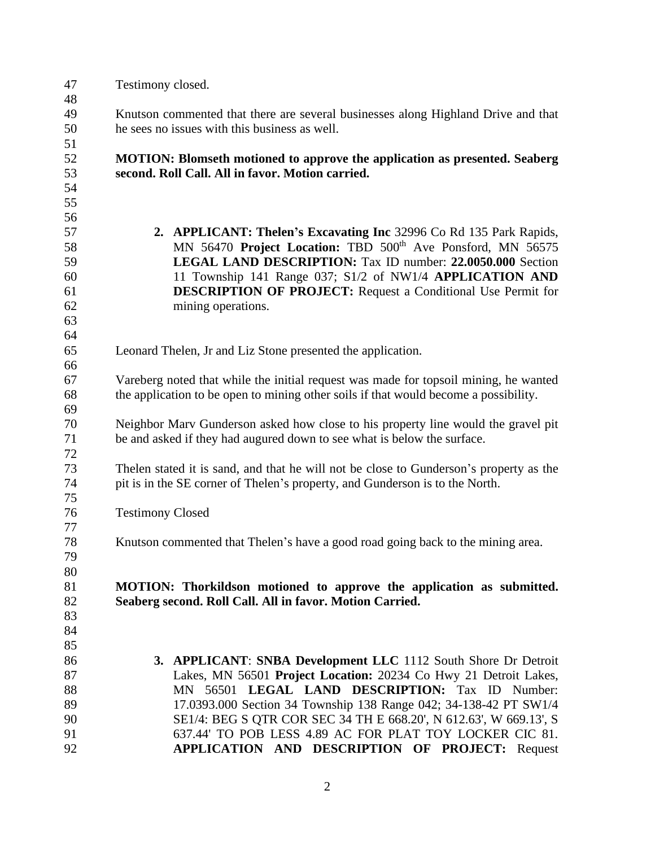| 47       | Testimony closed.                                                                                                                                                            |  |  |  |
|----------|------------------------------------------------------------------------------------------------------------------------------------------------------------------------------|--|--|--|
| 48       |                                                                                                                                                                              |  |  |  |
| 49       | Knutson commented that there are several businesses along Highland Drive and that                                                                                            |  |  |  |
| 50       | he sees no issues with this business as well.                                                                                                                                |  |  |  |
| 51       |                                                                                                                                                                              |  |  |  |
| 52       | <b>MOTION: Blomseth motioned to approve the application as presented. Seaberg</b>                                                                                            |  |  |  |
| 53       | second. Roll Call. All in favor. Motion carried.                                                                                                                             |  |  |  |
| 54       |                                                                                                                                                                              |  |  |  |
| 55       |                                                                                                                                                                              |  |  |  |
| 56       |                                                                                                                                                                              |  |  |  |
| 57       | 2. APPLICANT: Thelen's Excavating Inc 32996 Co Rd 135 Park Rapids,                                                                                                           |  |  |  |
| 58       | MN 56470 Project Location: TBD 500 <sup>th</sup> Ave Ponsford, MN 56575                                                                                                      |  |  |  |
| 59       | <b>LEGAL LAND DESCRIPTION:</b> Tax ID number: 22.0050.000 Section                                                                                                            |  |  |  |
| 60       | 11 Township 141 Range 037; S1/2 of NW1/4 APPLICATION AND                                                                                                                     |  |  |  |
| 61       | <b>DESCRIPTION OF PROJECT:</b> Request a Conditional Use Permit for                                                                                                          |  |  |  |
| 62       | mining operations.                                                                                                                                                           |  |  |  |
| 63       |                                                                                                                                                                              |  |  |  |
| 64       |                                                                                                                                                                              |  |  |  |
| 65       | Leonard Thelen, Jr and Liz Stone presented the application.                                                                                                                  |  |  |  |
| 66       |                                                                                                                                                                              |  |  |  |
| 67       |                                                                                                                                                                              |  |  |  |
| 68       | Vareberg noted that while the initial request was made for topsoil mining, he wanted<br>the application to be open to mining other soils if that would become a possibility. |  |  |  |
| 69       |                                                                                                                                                                              |  |  |  |
| 70       | Neighbor Marv Gunderson asked how close to his property line would the gravel pit                                                                                            |  |  |  |
| 71       | be and asked if they had augured down to see what is below the surface.                                                                                                      |  |  |  |
| 72       |                                                                                                                                                                              |  |  |  |
| 73       |                                                                                                                                                                              |  |  |  |
| 74       | The len stated it is sand, and that he will not be close to Gunderson's property as the                                                                                      |  |  |  |
| 75       | pit is in the SE corner of Thelen's property, and Gunderson is to the North.                                                                                                 |  |  |  |
| 76       |                                                                                                                                                                              |  |  |  |
| 77       | <b>Testimony Closed</b>                                                                                                                                                      |  |  |  |
| 78       | Knutson commented that Thelen's have a good road going back to the mining area.                                                                                              |  |  |  |
| 79       |                                                                                                                                                                              |  |  |  |
| 80       |                                                                                                                                                                              |  |  |  |
| 81       | MOTION: Thorkildson motioned to approve the application as submitted.                                                                                                        |  |  |  |
| 82       | Seaberg second. Roll Call. All in favor. Motion Carried.                                                                                                                     |  |  |  |
|          |                                                                                                                                                                              |  |  |  |
| 83       |                                                                                                                                                                              |  |  |  |
| 84<br>85 |                                                                                                                                                                              |  |  |  |
|          |                                                                                                                                                                              |  |  |  |
| 86       | <b>3. APPLICANT: SNBA Development LLC</b> 1112 South Shore Dr Detroit                                                                                                        |  |  |  |
| 87       | Lakes, MN 56501 Project Location: 20234 Co Hwy 21 Detroit Lakes,                                                                                                             |  |  |  |
| 88       | MN 56501 LEGAL LAND DESCRIPTION: Tax ID Number:                                                                                                                              |  |  |  |
| 89       | 17.0393.000 Section 34 Township 138 Range 042; 34-138-42 PT SW1/4                                                                                                            |  |  |  |
| 90       | SE1/4: BEG S QTR COR SEC 34 TH E 668.20', N 612.63', W 669.13', S                                                                                                            |  |  |  |
| 91       | 637.44' TO POB LESS 4.89 AC FOR PLAT TOY LOCKER CIC 81.                                                                                                                      |  |  |  |
| 92       | APPLICATION AND DESCRIPTION OF PROJECT: Request                                                                                                                              |  |  |  |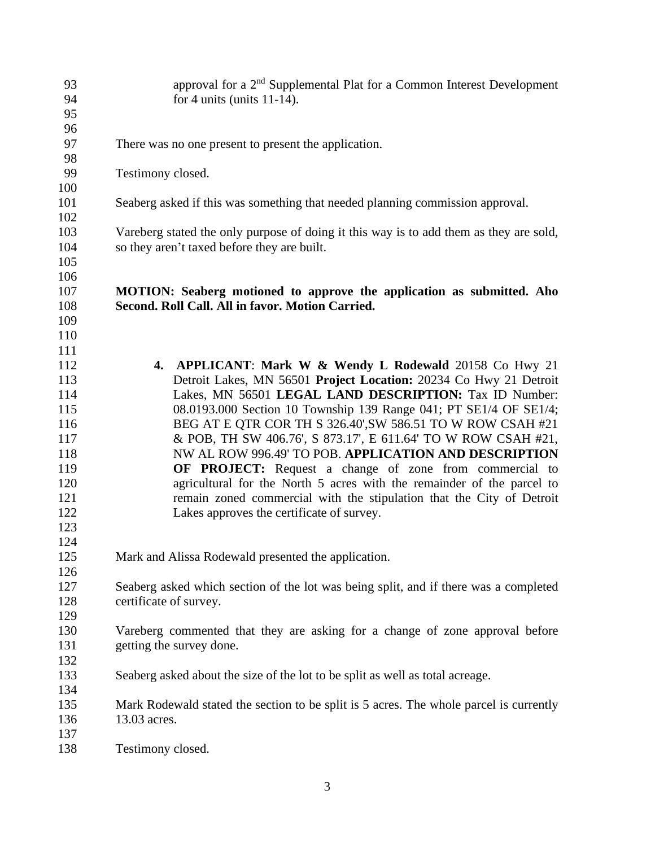| 93<br>94   | approval for a 2 <sup>nd</sup> Supplemental Plat for a Common Interest Development<br>for 4 units (units $11-14$ ).                   |  |  |
|------------|---------------------------------------------------------------------------------------------------------------------------------------|--|--|
| 95<br>96   |                                                                                                                                       |  |  |
| 97         | There was no one present to present the application.                                                                                  |  |  |
| 98<br>99   | Testimony closed.                                                                                                                     |  |  |
| 100        |                                                                                                                                       |  |  |
| 101        | Seaberg asked if this was something that needed planning commission approval.                                                         |  |  |
| 102        |                                                                                                                                       |  |  |
| 103<br>104 | Vareberg stated the only purpose of doing it this way is to add them as they are sold,<br>so they aren't taxed before they are built. |  |  |
| 105        |                                                                                                                                       |  |  |
| 106        |                                                                                                                                       |  |  |
| 107        | MOTION: Seaberg motioned to approve the application as submitted. Aho                                                                 |  |  |
| 108        | Second. Roll Call. All in favor. Motion Carried.                                                                                      |  |  |
| 109        |                                                                                                                                       |  |  |
| 110        |                                                                                                                                       |  |  |
| 111        |                                                                                                                                       |  |  |
| 112        | 4. APPLICANT: Mark W & Wendy L Rodewald 20158 Co Hwy 21                                                                               |  |  |
| 113        | Detroit Lakes, MN 56501 Project Location: 20234 Co Hwy 21 Detroit                                                                     |  |  |
| 114        | Lakes, MN 56501 LEGAL LAND DESCRIPTION: Tax ID Number:                                                                                |  |  |
| 115        | 08.0193.000 Section 10 Township 139 Range 041; PT SE1/4 OF SE1/4;                                                                     |  |  |
| 116        | BEG AT E QTR COR TH S 326.40', SW 586.51 TO W ROW CSAH #21                                                                            |  |  |
| 117        | & POB, TH SW 406.76', S 873.17', E 611.64' TO W ROW CSAH #21,                                                                         |  |  |
| 118        | NW AL ROW 996.49' TO POB. APPLICATION AND DESCRIPTION                                                                                 |  |  |
| 119        | OF PROJECT: Request a change of zone from commercial to                                                                               |  |  |
| 120        | agricultural for the North 5 acres with the remainder of the parcel to                                                                |  |  |
| 121        | remain zoned commercial with the stipulation that the City of Detroit                                                                 |  |  |
| 122        | Lakes approves the certificate of survey.                                                                                             |  |  |
| 123        |                                                                                                                                       |  |  |
| 124<br>125 |                                                                                                                                       |  |  |
| 126        | Mark and Alissa Rodewald presented the application.                                                                                   |  |  |
| 127        | Seaberg asked which section of the lot was being split, and if there was a completed                                                  |  |  |
| 128        | certificate of survey.                                                                                                                |  |  |
| 129        |                                                                                                                                       |  |  |
| 130        | Vareberg commented that they are asking for a change of zone approval before                                                          |  |  |
| 131        | getting the survey done.                                                                                                              |  |  |
| 132        |                                                                                                                                       |  |  |
| 133        | Seaberg asked about the size of the lot to be split as well as total acreage.                                                         |  |  |
| 134        |                                                                                                                                       |  |  |
| 135        | Mark Rodewald stated the section to be split is 5 acres. The whole parcel is currently                                                |  |  |
| 136        | 13.03 acres.                                                                                                                          |  |  |
| 137        |                                                                                                                                       |  |  |
| 138        | Testimony closed.                                                                                                                     |  |  |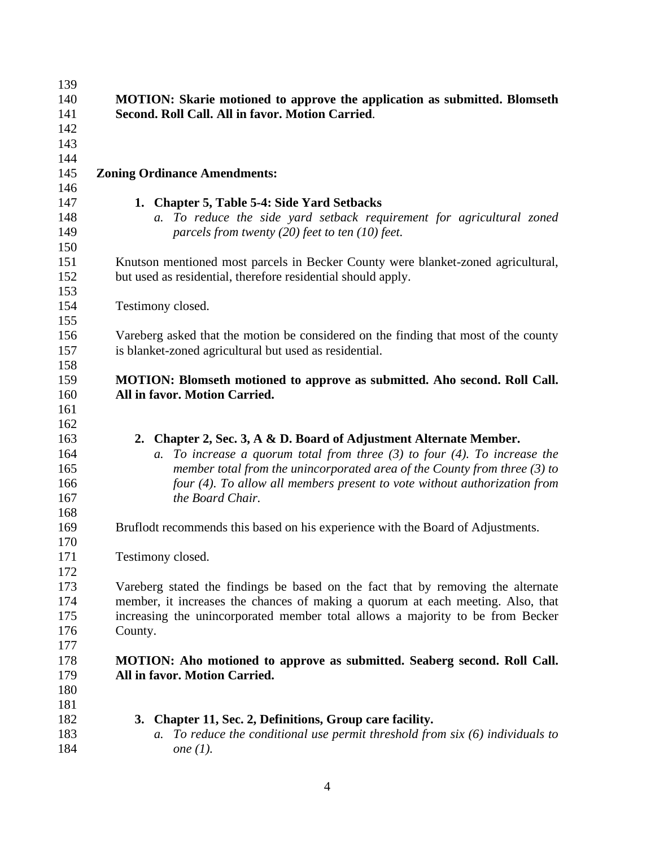| 139<br>140<br>141<br>142                      | <b>MOTION: Skarie motioned to approve the application as submitted. Blomseth</b><br>Second. Roll Call. All in favor. Motion Carried.                                                                                                                                                                                                    |
|-----------------------------------------------|-----------------------------------------------------------------------------------------------------------------------------------------------------------------------------------------------------------------------------------------------------------------------------------------------------------------------------------------|
| 143<br>144<br>145<br>146                      | <b>Zoning Ordinance Amendments:</b>                                                                                                                                                                                                                                                                                                     |
| 147<br>148<br>149<br>150                      | 1. Chapter 5, Table 5-4: Side Yard Setbacks<br>To reduce the side yard setback requirement for agricultural zoned<br>$a_{\cdot}$<br>parcels from twenty $(20)$ feet to ten $(10)$ feet.                                                                                                                                                 |
| 151<br>152<br>153                             | Knutson mentioned most parcels in Becker County were blanket-zoned agricultural,<br>but used as residential, therefore residential should apply.                                                                                                                                                                                        |
| 154<br>155                                    | Testimony closed.                                                                                                                                                                                                                                                                                                                       |
| 156<br>157<br>158                             | Vareberg asked that the motion be considered on the finding that most of the county<br>is blanket-zoned agricultural but used as residential.                                                                                                                                                                                           |
| 159<br>160<br>161                             | MOTION: Blomseth motioned to approve as submitted. Aho second. Roll Call.<br>All in favor. Motion Carried.                                                                                                                                                                                                                              |
| 162<br>163<br>164<br>165<br>166<br>167<br>168 | 2. Chapter 2, Sec. 3, A & D. Board of Adjustment Alternate Member.<br>To increase a quorum total from three $(3)$ to four $(4)$ . To increase the<br>a.<br>member total from the unincorporated area of the County from three $(3)$ to<br>four (4). To allow all members present to vote without authorization from<br>the Board Chair. |
| 169<br>170                                    | Bruflodt recommends this based on his experience with the Board of Adjustments.                                                                                                                                                                                                                                                         |
| 171<br>172                                    | Testimony closed.                                                                                                                                                                                                                                                                                                                       |
| 173<br>174<br>175<br>176<br>177               | Vareberg stated the findings be based on the fact that by removing the alternate<br>member, it increases the chances of making a quorum at each meeting. Also, that<br>increasing the unincorporated member total allows a majority to be from Becker<br>County.                                                                        |
| 178<br>179<br>180<br>181                      | MOTION: Aho motioned to approve as submitted. Seaberg second. Roll Call.<br>All in favor. Motion Carried.                                                                                                                                                                                                                               |
| 182<br>183<br>184                             | Chapter 11, Sec. 2, Definitions, Group care facility.<br>3.<br>To reduce the conditional use permit threshold from $six(6)$ individuals to<br>a.<br>one $(1)$ .                                                                                                                                                                         |